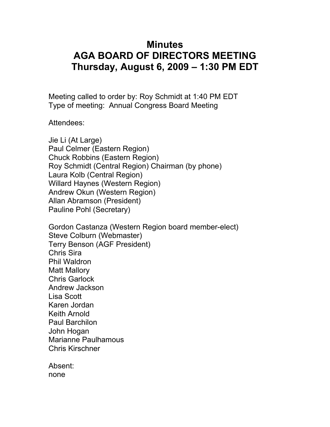## **Minutes AGA BOARD OF DIRECTORS MEETING Thursday, August 6, 2009 – 1:30 PM EDT**

Meeting called to order by: Roy Schmidt at 1:40 PM EDT Type of meeting: Annual Congress Board Meeting

Attendees:

Jie Li (At Large) Paul Celmer (Eastern Region) Chuck Robbins (Eastern Region) Roy Schmidt (Central Region) Chairman (by phone) Laura Kolb (Central Region) Willard Haynes (Western Region) Andrew Okun (Western Region) Allan Abramson (President) Pauline Pohl (Secretary)

Gordon Castanza (Western Region board member-elect) Steve Colburn (Webmaster) Terry Benson (AGF President) Chris Sira Phil Waldron Matt Mallory Chris Garlock Andrew Jackson Lisa Scott Karen Jordan Keith Arnold Paul Barchilon John Hogan Marianne Paulhamous Chris Kirschner

Absent: none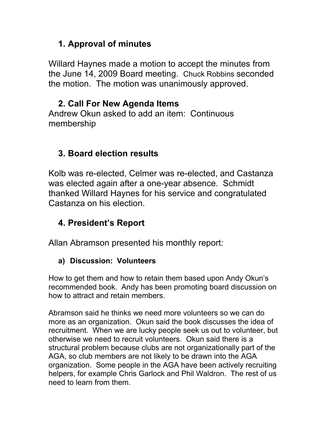## **1. Approval of minutes**

Willard Haynes made a motion to accept the minutes from the June 14, 2009 Board meeting. Chuck Robbins seconded the motion. The motion was unanimously approved.

# **2. Call For New Agenda Items**

Andrew Okun asked to add an item: Continuous membership

# **3. Board election results**

Kolb was re-elected, Celmer was re-elected, and Castanza was elected again after a one-year absence. Schmidt thanked Willard Haynes for his service and congratulated Castanza on his election.

# **4. President's Report**

Allan Abramson presented his monthly report:

### **a) Discussion: Volunteers**

How to get them and how to retain them based upon Andy Okun's recommended book. Andy has been promoting board discussion on how to attract and retain members.

Abramson said he thinks we need more volunteers so we can do more as an organization. Okun said the book discusses the idea of recruitment. When we are lucky people seek us out to volunteer, but otherwise we need to recruit volunteers. Okun said there is a structural problem because clubs are not organizationally part of the AGA, so club members are not likely to be drawn into the AGA organization. Some people in the AGA have been actively recruiting helpers, for example Chris Garlock and Phil Waldron. The rest of us need to learn from them.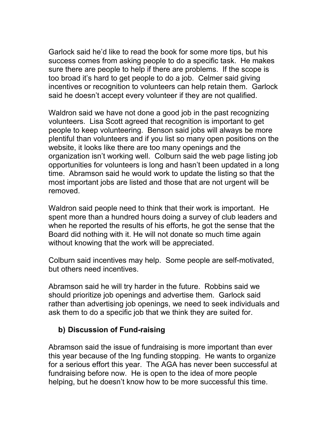Garlock said he'd like to read the book for some more tips, but his success comes from asking people to do a specific task. He makes sure there are people to help if there are problems. If the scope is too broad it's hard to get people to do a job. Celmer said giving incentives or recognition to volunteers can help retain them. Garlock said he doesn't accept every volunteer if they are not qualified.

Waldron said we have not done a good job in the past recognizing volunteers. Lisa Scott agreed that recognition is important to get people to keep volunteering. Benson said jobs will always be more plentiful than volunteers and if you list so many open positions on the website, it looks like there are too many openings and the organization isn't working well. Colburn said the web page listing job opportunities for volunteers is long and hasn't been updated in a long time. Abramson said he would work to update the listing so that the most important jobs are listed and those that are not urgent will be removed.

Waldron said people need to think that their work is important. He spent more than a hundred hours doing a survey of club leaders and when he reported the results of his efforts, he got the sense that the Board did nothing with it. He will not donate so much time again without knowing that the work will be appreciated.

Colburn said incentives may help. Some people are self-motivated, but others need incentives.

Abramson said he will try harder in the future. Robbins said we should prioritize job openings and advertise them. Garlock said rather than advertising job openings, we need to seek individuals and ask them to do a specific job that we think they are suited for.

#### **b) Discussion of Fund-raising**

Abramson said the issue of fundraising is more important than ever this year because of the Ing funding stopping. He wants to organize for a serious effort this year. The AGA has never been successful at fundraising before now. He is open to the idea of more people helping, but he doesn't know how to be more successful this time.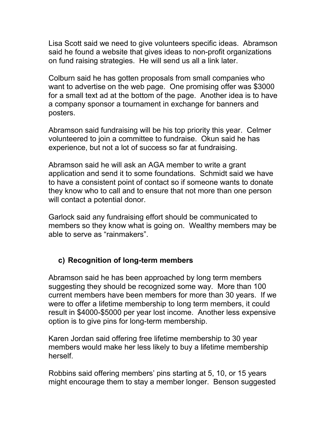Lisa Scott said we need to give volunteers specific ideas. Abramson said he found a website that gives ideas to non-profit organizations on fund raising strategies. He will send us all a link later.

Colburn said he has gotten proposals from small companies who want to advertise on the web page. One promising offer was \$3000 for a small text ad at the bottom of the page. Another idea is to have a company sponsor a tournament in exchange for banners and posters.

Abramson said fundraising will be his top priority this year. Celmer volunteered to join a committee to fundraise. Okun said he has experience, but not a lot of success so far at fundraising.

Abramson said he will ask an AGA member to write a grant application and send it to some foundations. Schmidt said we have to have a consistent point of contact so if someone wants to donate they know who to call and to ensure that not more than one person will contact a potential donor.

Garlock said any fundraising effort should be communicated to members so they know what is going on. Wealthy members may be able to serve as "rainmakers".

#### **c) Recognition of long-term members**

Abramson said he has been approached by long term members suggesting they should be recognized some way. More than 100 current members have been members for more than 30 years. If we were to offer a lifetime membership to long term members, it could result in \$4000-\$5000 per year lost income. Another less expensive option is to give pins for long-term membership.

Karen Jordan said offering free lifetime membership to 30 year members would make her less likely to buy a lifetime membership herself.

Robbins said offering members' pins starting at 5, 10, or 15 years might encourage them to stay a member longer. Benson suggested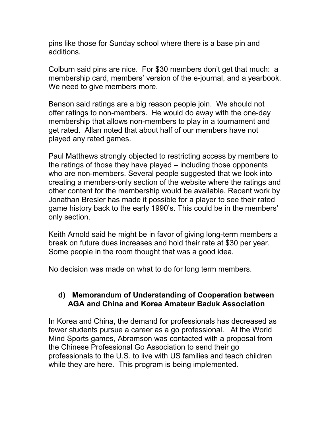pins like those for Sunday school where there is a base pin and additions.

Colburn said pins are nice. For \$30 members don't get that much: a membership card, members' version of the e-journal, and a yearbook. We need to give members more.

Benson said ratings are a big reason people join. We should not offer ratings to non-members. He would do away with the one-day membership that allows non-members to play in a tournament and get rated. Allan noted that about half of our members have not played any rated games.

Paul Matthews strongly objected to restricting access by members to the ratings of those they have played – including those opponents who are non-members. Several people suggested that we look into creating a members-only section of the website where the ratings and other content for the membership would be available. Recent work by Jonathan Bresler has made it possible for a player to see their rated game history back to the early 1990's. This could be in the members' only section.

Keith Arnold said he might be in favor of giving long-term members a break on future dues increases and hold their rate at \$30 per year. Some people in the room thought that was a good idea.

No decision was made on what to do for long term members.

#### **d) Memorandum of Understanding of Cooperation between AGA and China and Korea Amateur Baduk Association**

In Korea and China, the demand for professionals has decreased as fewer students pursue a career as a go professional. At the World Mind Sports games, Abramson was contacted with a proposal from the Chinese Professional Go Association to send their go professionals to the U.S. to live with US families and teach children while they are here. This program is being implemented.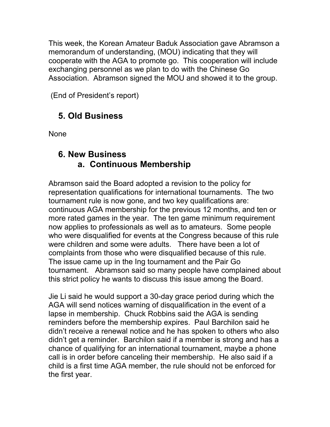This week, the Korean Amateur Baduk Association gave Abramson a memorandum of understanding, (MOU) indicating that they will cooperate with the AGA to promote go. This cooperation will include exchanging personnel as we plan to do with the Chinese Go Association. Abramson signed the MOU and showed it to the group.

(End of President's report)

## **5. Old Business**

**None** 

### **6. New Business a. Continuous Membership**

Abramson said the Board adopted a revision to the policy for representation qualifications for international tournaments. The two tournament rule is now gone, and two key qualifications are: continuous AGA membership for the previous 12 months, and ten or more rated games in the year. The ten game minimum requirement now applies to professionals as well as to amateurs. Some people who were disqualified for events at the Congress because of this rule were children and some were adults. There have been a lot of complaints from those who were disqualified because of this rule. The issue came up in the Ing tournament and the Pair Go tournament. Abramson said so many people have complained about this strict policy he wants to discuss this issue among the Board.

Jie Li said he would support a 30-day grace period during which the AGA will send notices warning of disqualification in the event of a lapse in membership. Chuck Robbins said the AGA is sending reminders before the membership expires. Paul Barchilon said he didn't receive a renewal notice and he has spoken to others who also didn't get a reminder. Barchilon said if a member is strong and has a chance of qualifying for an international tournament, maybe a phone call is in order before canceling their membership. He also said if a child is a first time AGA member, the rule should not be enforced for the first year.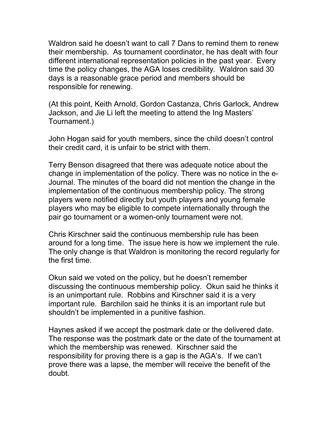Waldron said he doesn't want to call 7 Dans to remind them to renew their membership. As tournament coordinator, he has dealt with four different international representation policies in the past year. Every time the policy changes, the AGA loses credibility. Waldron said 30 days is a reasonable grace period and members should be responsible for renewing.

(At this point, Keith Arnold, Gordon Castanza, Chris Garlock, Andrew Jackson, and Jie Li left the meeting to attend the Ing Masters' Tournament.)

John Hogan said for youth members, since the child doesn't control their credit card, it is unfair to be strict with them.

Terry Benson disagreed that there was adequate notice about the change in implementation of the policy. There was no notice in the e-Journal. The minutes of the board did not mention the change in the implementation of the continuous membership policy. The strong players were notified directly but youth players and young female players who may be eligible to compete internationally through the pair go tournament or a women-only tournament were not.

Chris Kirschner said the continuous membership rule has been around for a long time. The issue here is how we implement the rule. The only change is that Waldron is monitoring the record regularly for the first time.

Okun said we voted on the policy, but he doesn't remember discussing the continuous membership policy. Okun said he thinks it is an unimportant rule. Robbins and Kirschner said it is a very important rule. Barchilon said he thinks it is an important rule but shouldn't be implemented in a punitive fashion.

Haynes asked if we accept the postmark date or the delivered date. The response was the postmark date or the date of the tournament at which the membership was renewed. Kirschner said the responsibility for proving there is a gap is the AGA's. If we can't prove there was a lapse, the member will receive the benefit of the doubt.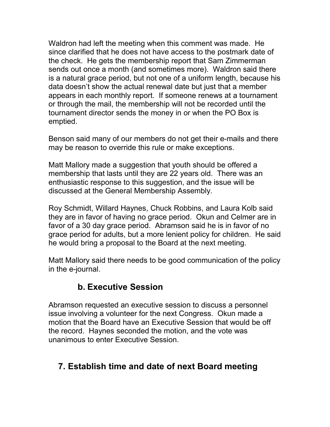Waldron had left the meeting when this comment was made. He since clarified that he does not have access to the postmark date of the check. He gets the membership report that Sam Zimmerman sends out once a month (and sometimes more). Waldron said there is a natural grace period, but not one of a uniform length, because his data doesn't show the actual renewal date but just that a member appears in each monthly report. If someone renews at a tournament or through the mail, the membership will not be recorded until the tournament director sends the money in or when the PO Box is emptied.

Benson said many of our members do not get their e-mails and there may be reason to override this rule or make exceptions.

Matt Mallory made a suggestion that youth should be offered a membership that lasts until they are 22 years old. There was an enthusiastic response to this suggestion, and the issue will be discussed at the General Membership Assembly.

Roy Schmidt, Willard Haynes, Chuck Robbins, and Laura Kolb said they are in favor of having no grace period. Okun and Celmer are in favor of a 30 day grace period. Abramson said he is in favor of no grace period for adults, but a more lenient policy for children. He said he would bring a proposal to the Board at the next meeting.

Matt Mallory said there needs to be good communication of the policy in the e-journal.

### **b. Executive Session**

Abramson requested an executive session to discuss a personnel issue involving a volunteer for the next Congress. Okun made a motion that the Board have an Executive Session that would be off the record. Haynes seconded the motion, and the vote was unanimous to enter Executive Session.

## **7. Establish time and date of next Board meeting**